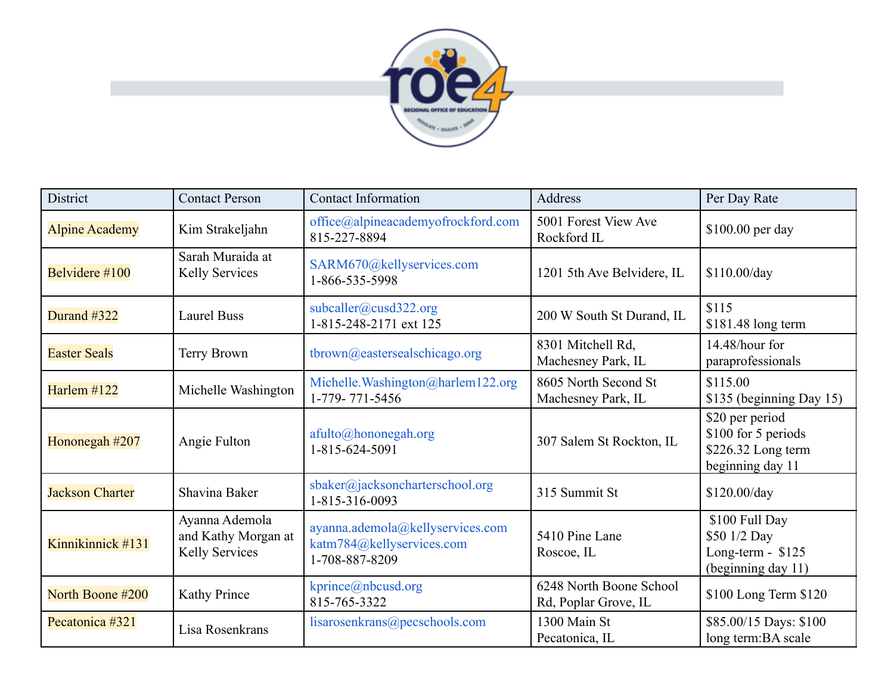

| District               | <b>Contact Person</b>                                   | <b>Contact Information</b>                                                      | Address                                         | Per Day Rate                                                                     |
|------------------------|---------------------------------------------------------|---------------------------------------------------------------------------------|-------------------------------------------------|----------------------------------------------------------------------------------|
| <b>Alpine Academy</b>  | Kim Strakeljahn                                         | office@alpineacademyofrockford.com<br>815-227-8894                              | 5001 Forest View Ave<br>Rockford IL             | \$100.00 per day                                                                 |
| Belvidere #100         | Sarah Muraida at<br>Kelly Services                      | SARM670@kellyservices.com<br>1-866-535-5998                                     | 1201 5th Ave Belvidere, IL                      | \$110.00/day                                                                     |
| Durand #322            | <b>Laurel Buss</b>                                      | subcaller@cusd322.org<br>1-815-248-2171 ext 125                                 | 200 W South St Durand, IL                       | \$115<br>$$181.48$ long term                                                     |
| <b>Easter Seals</b>    | Terry Brown                                             | tbrown@eastersealschicago.org                                                   | 8301 Mitchell Rd,<br>Machesney Park, IL         | 14.48/hour for<br>paraprofessionals                                              |
| Harlem #122            | Michelle Washington                                     | Michelle.Washington@harlem122.org<br>1-779-771-5456                             | 8605 North Second St<br>Machesney Park, IL      | \$115.00<br>\$135 (beginning Day 15)                                             |
| Hononegah #207         | Angie Fulton                                            | afulto@hononegah.org<br>1-815-624-5091                                          | 307 Salem St Rockton, IL                        | \$20 per period<br>\$100 for 5 periods<br>\$226.32 Long term<br>beginning day 11 |
| <b>Jackson Charter</b> | Shavina Baker                                           | sbaker@jacksoncharterschool.org<br>1-815-316-0093                               | 315 Summit St                                   | \$120.00/day                                                                     |
| Kinnikinnick #131      | Ayanna Ademola<br>and Kathy Morgan at<br>Kelly Services | ayanna.ademola@kellyservices.com<br>katm784@kellyservices.com<br>1-708-887-8209 | 5410 Pine Lane<br>Roscoe, IL                    | \$100 Full Day<br>\$50 1/2 Day<br>Long-term - $$125$<br>(beginning day 11)       |
| North Boone #200       | Kathy Prince                                            | kprince@nbcusd.org<br>815-765-3322                                              | 6248 North Boone School<br>Rd, Poplar Grove, IL | \$100 Long Term \$120                                                            |
| Pecatonica #321        | Lisa Rosenkrans                                         | lisarosenkrans@pecschools.com                                                   | 1300 Main St<br>Pecatonica, IL                  | \$85.00/15 Days: \$100<br>long term: BA scale                                    |